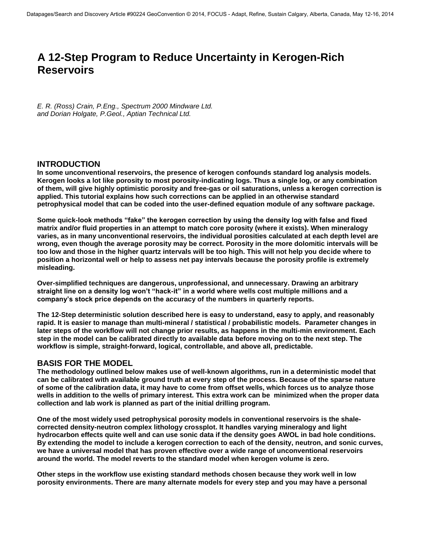# **A 12-Step Program to Reduce Uncertainty in Kerogen-Rich Reservoirs**

*E. R. (Ross) Crain, P.Eng., Spectrum 2000 Mindware Ltd. and Dorian Holgate, P.Geol., Aptian Technical Ltd.*

### **INTRODUCTION**

**In some unconventional reservoirs, the presence of kerogen confounds standard log analysis models. Kerogen looks a lot like porosity to most porosity-indicating logs. Thus a single log, or any combination of them, will give highly optimistic porosity and free-gas or oil saturations, unless a kerogen correction is applied. This tutorial explains how such corrections can be applied in an otherwise standard petrophysical model that can be coded into the user-defined equation module of any software package.** 

**Some quick-look methods "fake" the kerogen correction by using the density log with false and fixed matrix and/or fluid properties in an attempt to match core porosity (where it exists). When mineralogy varies, as in many unconventional reservoirs, the individual porosities calculated at each depth level are wrong, even though the average porosity may be correct. Porosity in the more dolomitic intervals will be too low and those in the higher quartz intervals will be too high. This will not help you decide where to position a horizontal well or help to assess net pay intervals because the porosity profile is extremely misleading.** 

**Over-simplified techniques are dangerous, unprofessional, and unnecessary. Drawing an arbitrary straight line on a density log won't "hack-it" in a world where wells cost multiple millions and a company's stock price depends on the accuracy of the numbers in quarterly reports.** 

**The 12-Step deterministic solution described here is easy to understand, easy to apply, and reasonably rapid. It is easier to manage than multi-mineral / statistical / probabilistic models. Parameter changes in later steps of the workflow will not change prior results, as happens in the multi-min environment. Each step in the model can be calibrated directly to available data before moving on to the next step. The workflow is simple, straight-forward, logical, controllable, and above all, predictable.** 

# **BASIS FOR THE MODEL**

**The methodology outlined below makes use of well-known algorithms, run in a deterministic model that can be calibrated with available ground truth at every step of the process. Because of the sparse nature of some of the calibration data, it may have to come from offset wells, which forces us to analyze those wells in addition to the wells of primary interest. This extra work can be minimized when the proper data collection and lab work is planned as part of the initial drilling program.** 

**One of the most widely used petrophysical porosity models in conventional reservoirs is the shalecorrected density-neutron complex lithology crossplot. It handles varying mineralogy and light hydrocarbon effects quite well and can use sonic data if the density goes AWOL in bad hole conditions. By extending the model to include a kerogen correction to each of the density, neutron, and sonic curves, we have a universal model that has proven effective over a wide range of unconventional reservoirs around the world. The model reverts to the standard model when kerogen volume is zero.** 

**Other steps in the workflow use existing standard methods chosen because they work well in low porosity environments. There are many alternate models for every step and you may have a personal**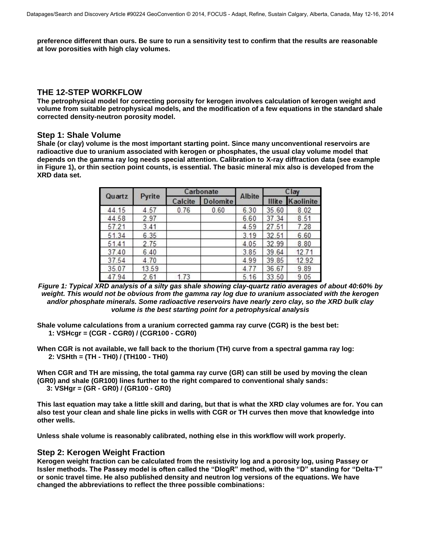**preference different than ours. Be sure to run a sensitivity test to confirm that the results are reasonable at low porosities with high clay volumes.** 

## **THE 12-STEP WORKFLOW**

**The petrophysical model for correcting porosity for kerogen involves calculation of kerogen weight and volume from suitable petrophysical models, and the modification of a few equations in the standard shale corrected density-neutron porosity model.** 

### **Step 1: Shale Volume**

**Shale (or clay) volume is the most important starting point. Since many unconventional reservoirs are radioactive due to uranium associated with kerogen or phosphates, the usual clay volume model that depends on the gamma ray log needs special attention. Calibration to X-ray diffraction data (see example in Figure 1), or thin section point counts, is essential. The basic mineral mix also is developed from the XRD data set.** 

| Quartz | Pyrite |         | Carbonate       |               | Clay   |           |  |
|--------|--------|---------|-----------------|---------------|--------|-----------|--|
|        |        | Calcite | <b>Dolomite</b> | <b>Albite</b> | Illite | Kaolinite |  |
| 44.15  | 4.57   | 0.76    | 0.60            | 6.30          | 35.60  | 8.02      |  |
| 44.58  | 2.97   |         |                 | 6.60          | 37.34  | 8.51      |  |
| 57.21  | 3.41   |         |                 | 4.59          | 27.51  | 7.28      |  |
| 51.34  | 6.35   |         |                 | 3.19          | 32.51  | 6.60      |  |
| 51.41  | 2.75   |         |                 | 4.05          | 32.99  | 8.80      |  |
| 37.40  | 6.40   |         |                 | 3.85          | 39.64  | 12.71     |  |
| 37.54  | 4.70   |         |                 | 4.99          | 39.85  | 12.92     |  |
| 35.07  | 13.59  |         |                 | 4.77          | 36.67  | 9.89      |  |
| 47.94  | 2.61   | 1.73    |                 | 5.16          | 33.50  | 9.05      |  |

*Figure 1: Typical XRD analysis of a silty gas shale showing clay-quartz ratio averages of about 40:60% by weight. This would not be obvious from the gamma ray log due to uranium associated with the kerogen and/or phosphate minerals. Some radioactive reservoirs have nearly zero clay, so the XRD bulk clay volume is the best starting point for a petrophysical analysis* 

- **Shale volume calculations from a uranium corrected gamma ray curve (CGR) is the best bet: 1: VSHcgr = (CGR - CGR0) / (CGR100 - CGR0)**
- **When CGR is not available, we fall back to the thorium (TH) curve from a spectral gamma ray log: 2: VSHth = (TH - TH0) / (TH100 - TH0)**

**When CGR and TH are missing, the total gamma ray curve (GR) can still be used by moving the clean (GR0) and shale (GR100) lines further to the right compared to conventional shaly sands: 3: VSHgr = (GR - GR0) / (GR100 - GR0)** 

**This last equation may take a little skill and daring, but that is what the XRD clay volumes are for. You can also test your clean and shale line picks in wells with CGR or TH curves then move that knowledge into other wells.** 

**Unless shale volume is reasonably calibrated, nothing else in this workflow will work properly.** 

### **Step 2: Kerogen Weight Fraction**

**Kerogen weight fraction can be calculated from the resistivity log and a porosity log, using Passey or Issler methods. The Passey model is often called the "DlogR" method, with the "D" standing for "Delta-T" or sonic travel time. He also published density and neutron log versions of the equations. We have changed the abbreviations to reflect the three possible combinations:**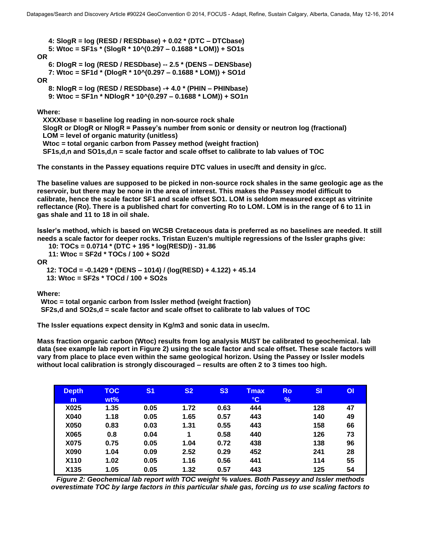**4: SlogR = log (RESD / RESDbase) + 0.02 \* (DTC – DTCbase) 5: Wtoc = SF1s \* (SlogR \* 10^(0.297 – 0.1688 \* LOM)) + SO1s OR 6: DlogR = log (RESD / RESDbase) -- 2.5 \* (DENS – DENSbase) 7: Wtoc = SF1d \* (DlogR \* 10^(0.297 – 0.1688 \* LOM)) + SO1d OR 8: NlogR = log (RESD / RESDbase) -+ 4.0 \* (PHIN – PHINbase) 9: Wtoc = SF1n \* NDlogR \* 10^(0.297 – 0.1688 \* LOM)) + SO1n** 

#### **Where:**

 **XXXXbase = baseline log reading in non-source rock shale SlogR or DlogR or NlogR = Passey's number from sonic or density or neutron log (fractional) LOM = level of organic maturity (unitless) Wtoc = total organic carbon from Passey method (weight fraction) SF1s,d,n and SO1s,d,n = scale factor and scale offset to calibrate to lab values of TOC** 

**The constants in the Passey equations require DTC values in usec/ft and density in g/cc.** 

**The baseline values are supposed to be picked in non-source rock shales in the same geologic age as the reservoir, but there may be none in the area of interest. This makes the Passey model difficult to calibrate, hence the scale factor SF1 and scale offset SO1. LOM is seldom measured except as vitrinite reflectance (Ro). There is a published chart for converting Ro to LOM. LOM is in the range of 6 to 11 in gas shale and 11 to 18 in oil shale.** 

**Issler's method, which is based on WCSB Cretaceous data is preferred as no baselines are needed. It still needs a scale factor for deeper rocks. Tristan Euzen's multiple regressions of the Issler graphs give:** 

```
10: TOCs = 0.0714 * (DTC + 195 * log(RESD)) - 31.86
```
**11: Wtoc = SF2d \* TOCs / 100 + SO2d**

**OR**

**12: TOCd = -0.1429 \* (DENS – 1014) / (log(RESD) + 4.122) + 45.14 13: Wtoc = SF2s \* TOCd / 100 + SO2s**

**Where:** 

 **Wtoc = total organic carbon from Issler method (weight fraction) SF2s,d and SO2s,d = scale factor and scale offset to calibrate to lab values of TOC** 

**The Issler equations expect density in Kg/m3 and sonic data in usec/m.** 

**Mass fraction organic carbon (Wtoc) results from log analysis MUST be calibrated to geochemical. lab data (see example lab report in Figure 2) using the scale factor and scale offset. These scale factors will vary from place to place even within the same geological horizon. Using the Passey or Issler models without local calibration is strongly discouraged – results are often 2 to 3 times too high.** 

| <b>Depth</b> | <b>TOC</b> | S <sub>1</sub> | S <sub>2</sub> | S <sub>3</sub> | <b>Tmax</b>     | <b>Ro</b> | SI  | <b>OI</b> |
|--------------|------------|----------------|----------------|----------------|-----------------|-----------|-----|-----------|
| m            | $wt\%$     |                |                |                | $\rm ^{\circ}C$ | %         |     |           |
| X025         | 1.35       | 0.05           | 1.72           | 0.63           | 444             |           | 128 | 47        |
| X040         | 1.18       | 0.05           | 1.65           | 0.57           | 443             |           | 140 | 49        |
| X050         | 0.83       | 0.03           | 1.31           | 0.55           | 443             |           | 158 | 66        |
| X065         | 0.8        | 0.04           | 1              | 0.58           | 440             |           | 126 | 73        |
| X075         | 0.75       | 0.05           | 1.04           | 0.72           | 438             |           | 138 | 96        |
| X090         | 1.04       | 0.09           | 2.52           | 0.29           | 452             |           | 241 | 28        |
| X110         | 1.02       | 0.05           | 1.16           | 0.56           | 441             |           | 114 | 55        |
| X135         | 1.05       | 0.05           | 1.32           | 0.57           | 443             |           | 125 | 54        |

*Figure 2: Geochemical lab report with TOC weight % values. Both Passeyy and Issler methods overestimate TOC by large factors in this particular shale gas, forcing us to use scaling factors to*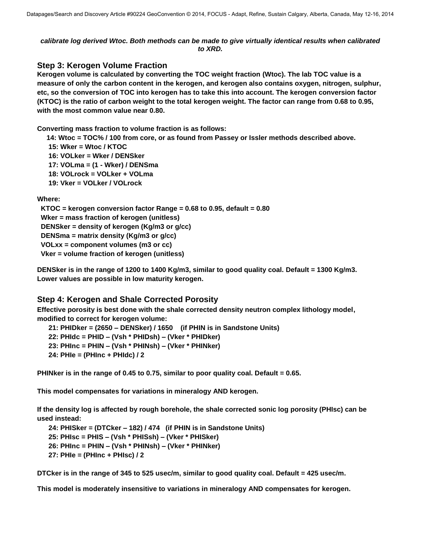#### *calibrate log derived Wtoc. Both methods can be made to give virtually identical results when calibrated to XRD.*

### **Step 3: Kerogen Volume Fraction**

**Kerogen volume is calculated by converting the TOC weight fraction (Wtoc). The lab TOC value is a measure of only the carbon content in the kerogen, and kerogen also contains oxygen, nitrogen, sulphur, etc, so the conversion of TOC into kerogen has to take this into account. The kerogen conversion factor (KTOC) is the ratio of carbon weight to the total kerogen weight. The factor can range from 0.68 to 0.95, with the most common value near 0.80.** 

**Converting mass fraction to volume fraction is as follows:** 

 **14: Wtoc = TOC% / 100 from core, or as found from Passey or Issler methods described above.** 

 **15: Wker = Wtoc / KTOC** 

 **16: VOLker = Wker / DENSker** 

 **17: VOLma = (1 - Wker) / DENSma** 

 **18: VOLrock = VOLker + VOLma** 

**19: Vker = VOLker / VOLrock** 

**Where:** 

 **KTOC = kerogen conversion factor Range = 0.68 to 0.95, default = 0.80 Wker = mass fraction of kerogen (unitless) DENSker = density of kerogen (Kg/m3 or g/cc) DENSma = matrix density (Kg/m3 or g/cc) VOLxx = component volumes (m3 or cc) Vker = volume fraction of kerogen (unitless)** 

**DENSker is in the range of 1200 to 1400 Kg/m3, similar to good quality coal. Default = 1300 Kg/m3. Lower values are possible in low maturity kerogen.** 

# **Step 4: Kerogen and Shale Corrected Porosity**

**Effective porosity is best done with the shale corrected density neutron complex lithology model, modified to correct for kerogen volume:** 

 **21: PHIDker = (2650 – DENSker) / 1650 (if PHIN is in Sandstone Units) 22: PHIdc = PHID – (Vsh \* PHIDsh) – (Vker \* PHIDker) 23: PHInc = PHIN – (Vsh \* PHINsh) – (Vker \* PHINker) 24: PHIe = (PHInc + PHIdc) / 2** 

**PHINker is in the range of 0.45 to 0.75, similar to poor quality coal. Default = 0.65.** 

**This model compensates for variations in mineralogy AND kerogen.** 

**If the density log is affected by rough borehole, the shale corrected sonic log porosity (PHIsc) can be used instead:** 

 **24: PHISker = (DTCker – 182) / 474 (if PHIN is in Sandstone Units) 25: PHIsc = PHIS – (Vsh \* PHISsh) – (Vker \* PHISker) 26: PHInc = PHIN – (Vsh \* PHINsh) – (Vker \* PHINker) 27: PHIe = (PHInc + PHIsc) / 2** 

**DTCker is in the range of 345 to 525 usec/m, similar to good quality coal. Default = 425 usec/m.** 

**This model is moderately insensitive to variations in mineralogy AND compensates for kerogen.**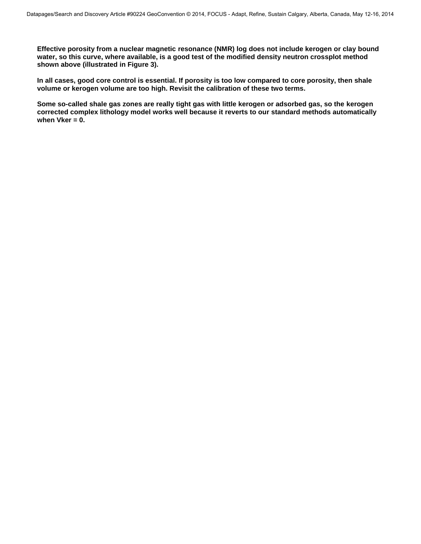**Effective porosity from a nuclear magnetic resonance (NMR) log does not include kerogen or clay bound water, so this curve, where available, is a good test of the modified density neutron crossplot method shown above (illustrated in Figure 3).** 

**In all cases, good core control is essential. If porosity is too low compared to core porosity, then shale volume or kerogen volume are too high. Revisit the calibration of these two terms.** 

**Some so-called shale gas zones are really tight gas with little kerogen or adsorbed gas, so the kerogen corrected complex lithology model works well because it reverts to our standard methods automatically when Vker = 0.**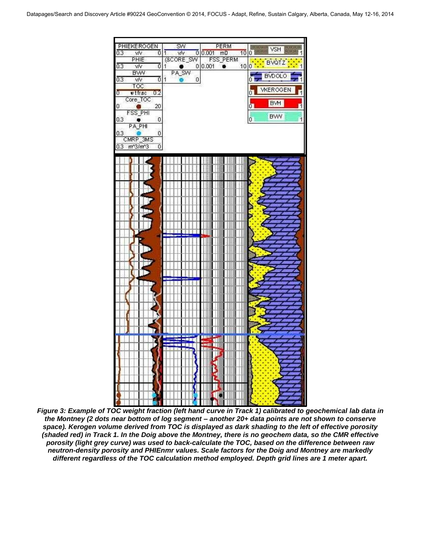

*Figure 3: Example of TOC weight fraction (left hand curve in Track 1) calibrated to geochemical lab data in the Montney (2 dots near bottom of log segment – another 20+ data points are not shown to conserve space). Kerogen volume derived from TOC is displayed as dark shading to the left of effective porosity (shaded red) in Track 1. In the Doig above the Montney, there is no geochem data, so the CMR effective porosity (light grey curve) was used to back-calculate the TOC, based on the difference between raw neutron-density porosity and PHIEnmr values. Scale factors for the Doig and Montney are markedly different regardless of the TOC calculation method employed. Depth grid lines are 1 meter apart.*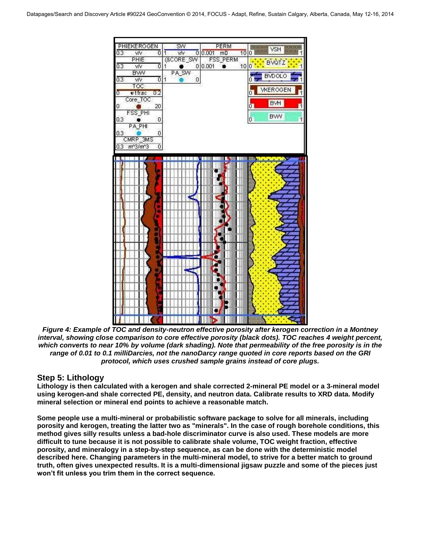

*Figure 4: Example of TOC and density-neutron effective porosity after kerogen correction in a Montney interval, showing close comparison to core effective porosity (black dots). TOC reaches 4 weight percent, which converts to near 10% by volume (dark shading). Note that permeability of the free porosity is in the range of 0.01 to 0.1 milliDarcies, not the nanoDarcy range quoted in core reports based on the GRI protocol, which uses crushed sample grains instead of core plugs.* 

# **Step 5: Lithology**

**Lithology is then calculated with a kerogen and shale corrected 2-mineral PE model or a 3-mineral model using kerogen-and shale corrected PE, density, and neutron data. Calibrate results to XRD data. Modify mineral selection or mineral end points to achieve a reasonable match.** 

**Some people use a multi-mineral or probabilistic software package to solve for all minerals, including porosity and kerogen, treating the latter two as "minerals". In the case of rough borehole conditions, this method gives silly results unless a bad-hole discriminator curve is also used. These models are more difficult to tune because it is not possible to calibrate shale volume, TOC weight fraction, effective porosity, and mineralogy in a step-by-step sequence, as can be done with the deterministic model described here. Changing parameters in the multi-mineral model, to strive for a better match to ground truth, often gives unexpected results. It is a multi-dimensional jigsaw puzzle and some of the pieces just won't fit unless you trim them in the correct sequence.**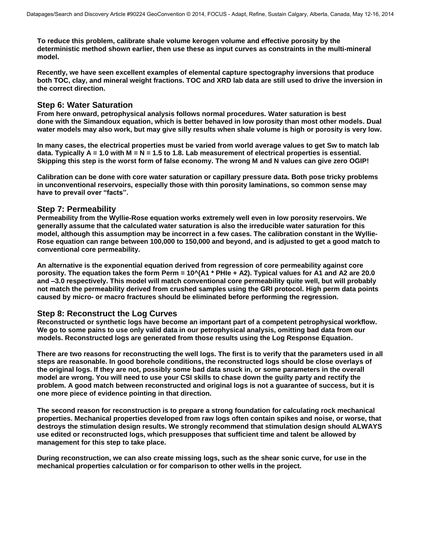**To reduce this problem, calibrate shale volume kerogen volume and effective porosity by the deterministic method shown earlier, then use these as input curves as constraints in the multi-mineral model.** 

**Recently, we have seen excellent examples of elemental capture spectography inversions that produce both TOC, clay, and mineral weight fractions. TOC and XRD lab data are still used to drive the inversion in the correct direction.** 

### **Step 6: Water Saturation**

**From here onward, petrophysical analysis follows normal procedures. Water saturation is best done with the Simandoux equation, which is better behaved in low porosity than most other models. Dual water models may also work, but may give silly results when shale volume is high or porosity is very low.** 

**In many cases, the electrical properties must be varied from world average values to get Sw to match lab**  data. Typically A = 1.0 with M = N = 1.5 to 1.8. Lab measurement of electrical properties is essential. **Skipping this step is the worst form of false economy. The wrong M and N values can give zero OGIP!** 

**Calibration can be done with core water saturation or capillary pressure data. Both pose tricky problems in unconventional reservoirs, especially those with thin porosity laminations, so common sense may have to prevail over "facts".**

### **Step 7: Permeability**

**Permeability from the Wyllie-Rose equation works extremely well even in low porosity reservoirs. We generally assume that the calculated water saturation is also the irreducible water saturation for this model, although this assumption may be incorrect in a few cases. The calibration constant in the Wyllie-Rose equation can range between 100,000 to 150,000 and beyond, and is adjusted to get a good match to conventional core permeability.** 

**An alternative is the exponential equation derived from regression of core permeability against core porosity. The equation takes the form Perm = 10^(A1 \* PHIe + A2). Typical values for A1 and A2 are 20.0 and –3.0 respectively. This model will match conventional core permeability quite well, but will probably not match the permeability derived from crushed samples using the GRI protocol. High perm data points caused by micro- or macro fractures should be eliminated before performing the regression.** 

### **Step 8: Reconstruct the Log Curves**

**Reconstructed or synthetic logs have become an important part of a competent petrophysical workflow. We go to some pains to use only valid data in our petrophysical analysis, omitting bad data from our models. Reconstructed logs are generated from those results using the Log Response Equation.** 

**There are two reasons for reconstructing the well logs. The first is to verify that the parameters used in all steps are reasonable. In good borehole conditions, the reconstructed logs should be close overlays of the original logs. If they are not, possibly some bad data snuck in, or some parameters in the overall model are wrong. You will need to use your CSI skills to chase down the guilty party and rectify the problem. A good match between reconstructed and original logs is not a guarantee of success, but it is one more piece of evidence pointing in that direction.** 

**The second reason for reconstruction is to prepare a strong foundation for calculating rock mechanical properties. Mechanical properties developed from raw logs often contain spikes and noise, or worse, that destroys the stimulation design results. We strongly recommend that stimulation design should ALWAYS use edited or reconstructed logs, which presupposes that sufficient time and talent be allowed by management for this step to take place.**

**During reconstruction, we can also create missing logs, such as the shear sonic curve, for use in the mechanical properties calculation or for comparison to other wells in the project.**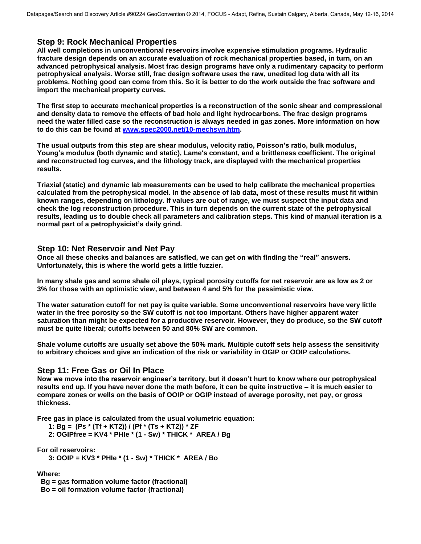### **Step 9: Rock Mechanical Properties**

**All well completions in unconventional reservoirs involve expensive stimulation programs. Hydraulic fracture design depends on an accurate evaluation of rock mechanical properties based, in turn, on an advanced petrophysical analysis. Most frac design programs have only a rudimentary capacity to perform petrophysical analysis. Worse still, frac design software uses the raw, unedited log data with all its problems. Nothing good can come from this. So it is better to do the work outside the frac software and import the mechanical property curves.** 

**The first step to accurate mechanical properties is a reconstruction of the sonic shear and compressional and density data to remove the effects of bad hole and light hydrocarbons. The frac design programs need the water filled case so the reconstruction is always needed in gas zones. More information on how to do this can be found at [www.spec2000.net/10-mechsyn.htm.](http://www.spec2000.net/10-mechsyn.htm)** 

**The usual outputs from this step are shear modulus, velocity ratio, Poisson's ratio, bulk modulus, Young's modulus (both dynamic and static), Lame's constant, and a brittleness coefficient. The original and reconstructed log curves, and the lithology track, are displayed with the mechanical properties results.** 

**Triaxial (static) and dynamic lab measurements can be used to help calibrate the mechanical properties calculated from the petrophysical model. In the absence of lab data, most of these results must fit within known ranges, depending on lithology. If values are out of range, we must suspect the input data and check the log reconstruction procedure. This in turn depends on the current state of the petrophysical results, leading us to double check all parameters and calibration steps. This kind of manual iteration is a normal part of a petrophysicist's daily grind.**

### **Step 10: Net Reservoir and Net Pay**

**Once all these checks and balances are satisfied, we can get on with finding the "real" answers. Unfortunately, this is where the world gets a little fuzzier.** 

**In many shale gas and some shale oil plays, typical porosity cutoffs for net reservoir are as low as 2 or 3% for those with an optimistic view, and between 4 and 5% for the pessimistic view.** 

**The water saturation cutoff for net pay is quite variable. Some unconventional reservoirs have very little water in the free porosity so the SW cutoff is not too important. Others have higher apparent water saturation than might be expected for a productive reservoir. However, they do produce, so the SW cutoff must be quite liberal; cutoffs between 50 and 80% SW are common.** 

**Shale volume cutoffs are usually set above the 50% mark. Multiple cutoff sets help assess the sensitivity to arbitrary choices and give an indication of the risk or variability in OGIP or OOIP calculations.** 

### **Step 11: Free Gas or Oil In Place**

**Now we move into the reservoir engineer's territory, but it doesn't hurt to know where our petrophysical results end up. If you have never done the math before, it can be quite instructive – it is much easier to compare zones or wells on the basis of OOIP or OGIP instead of average porosity, net pay, or gross thickness.** 

**Free gas in place is calculated from the usual volumetric equation:** 

 **1: Bg = (Ps \* (Tf + KT2)) / (Pf \* (Ts + KT2)) \* ZF** 

 **2: OGIPfree = KV4 \* PHIe \* (1 - Sw) \* THICK \* AREA / Bg** 

**For oil reservoirs:** 

 **3: OOIP = KV3 \* PHIe \* (1 - Sw) \* THICK \* AREA / Bo** 

**Where:** 

**Bg = gas formation volume factor (fractional) Bo = oil formation volume factor (fractional)**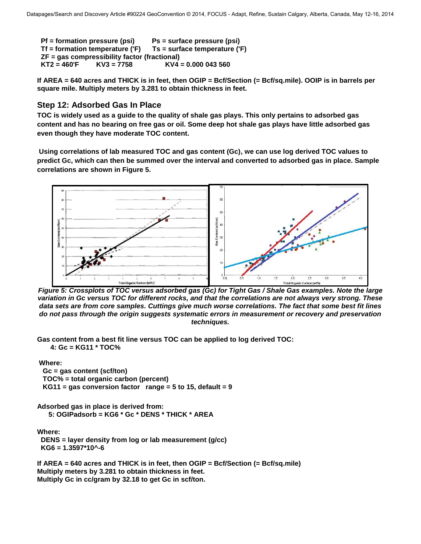```
 Pf = formation pressure (psi) Ps = surface pressure (psi) 
Tf = formation temperature ('F) Ts = surface temperature ('F) 
ZF = gas compressibility factor (fractional) 
KT2 = 460'F KV3 = 7758 KV4 = 0.000 043 560
```
**If AREA = 640 acres and THICK is in feet, then OGIP = Bcf/Section (= Bcf/sq.mile). OOIP is in barrels per square mile. Multiply meters by 3.281 to obtain thickness in feet.** 

### **Step 12: Adsorbed Gas In Place**

**TOC is widely used as a guide to the quality of shale gas plays. This only pertains to adsorbed gas content and has no bearing on free gas or oil. Some deep hot shale gas plays have little adsorbed gas even though they have moderate TOC content.** 

 **Using correlations of lab measured TOC and gas content (Gc), we can use log derived TOC values to predict Gc, which can then be summed over the interval and converted to adsorbed gas in place. Sample correlations are shown in Figure 5.** 



*Figure 5: Crossplots of TOC versus adsorbed gas (Gc) for Tight Gas / Shale Gas examples. Note the large variation in Gc versus TOC for different rocks, and that the correlations are not always very strong. These data sets are from core samples. Cuttings give much worse correlations. The fact that some best fit lines do not pass through the origin suggests systematic errors in measurement or recovery and preservation techniques.*

**Gas content from a best fit line versus TOC can be applied to log derived TOC: 4: Gc = KG11 \* TOC%** 

 **Where:** 

 **Gc = gas content (scf/ton) TOC% = total organic carbon (percent) KG11 = gas conversion factor range = 5 to 15, default = 9** 

**Adsorbed gas in place is derived from: 5: OGIPadsorb = KG6 \* Gc \* DENS \* THICK \* AREA**

**Where: DENS = layer density from log or lab measurement (g/cc) KG6 = 1.3597\*10^-6** 

**If AREA = 640 acres and THICK is in feet, then OGIP = Bcf/Section (= Bcf/sq.mile) Multiply meters by 3.281 to obtain thickness in feet. Multiply Gc in cc/gram by 32.18 to get Gc in scf/ton.**